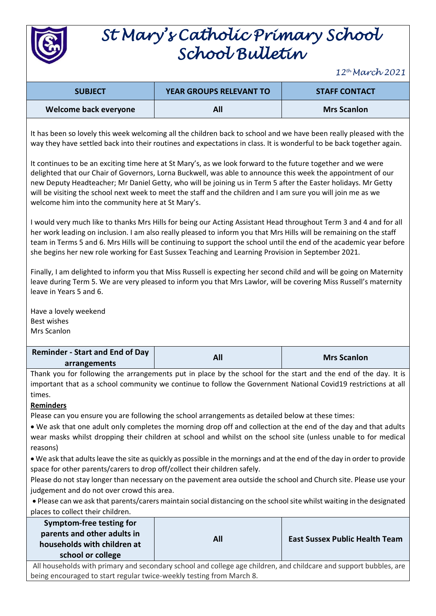

## *St Mary's Catholic Primary School School Bulletin*

*12th March 2021*

| <b>SUBJECT</b>        | <b>YEAR GROUPS RELEVANT TO</b> | <b>STAFF CONTACT</b> |
|-----------------------|--------------------------------|----------------------|
| Welcome back everyone | All                            | <b>Mrs Scanlon</b>   |

It has been so lovely this week welcoming all the children back to school and we have been really pleased with the way they have settled back into their routines and expectations in class. It is wonderful to be back together again.

It continues to be an exciting time here at St Mary's, as we look forward to the future together and we were delighted that our Chair of Governors, Lorna Buckwell, was able to announce this week the appointment of our new Deputy Headteacher; Mr Daniel Getty, who will be joining us in Term 5 after the Easter holidays. Mr Getty will be visiting the school next week to meet the staff and the children and I am sure you will join me as we welcome him into the community here at St Mary's.

I would very much like to thanks Mrs Hills for being our Acting Assistant Head throughout Term 3 and 4 and for all her work leading on inclusion. I am also really pleased to inform you that Mrs Hills will be remaining on the staff team in Terms 5 and 6. Mrs Hills will be continuing to support the school until the end of the academic year before she begins her new role working for East Sussex Teaching and Learning Provision in September 2021.

Finally, I am delighted to inform you that Miss Russell is expecting her second child and will be going on Maternity leave during Term 5. We are very pleased to inform you that Mrs Lawlor, will be covering Miss Russell's maternity leave in Years 5 and 6.

Have a lovely weekend Best wishes Mrs Scanlon

| <b>Reminder - Start and End of Day</b> | <b>Mrs Scanlon</b> |
|----------------------------------------|--------------------|
| arrangements                           |                    |

Thank you for following the arrangements put in place by the school for the start and the end of the day. It is important that as a school community we continue to follow the Government National Covid19 restrictions at all times.

## **Reminders**

Please can you ensure you are following the school arrangements as detailed below at these times:

• We ask that one adult only completes the morning drop off and collection at the end of the day and that adults wear masks whilst dropping their children at school and whilst on the school site (unless unable to for medical reasons)

• We ask that adults leave the site as quickly as possible in the mornings and at the end of the day in order to provide space for other parents/carers to drop off/collect their children safely.

Please do not stay longer than necessary on the pavement area outside the school and Church site. Please use your judgement and do not over crowd this area.

• Please can we ask that parents/carers maintain social distancing on the school site whilst waiting in the designated places to collect their children.

| Symptom-free testing for<br>parents and other adults in |     |                                       |
|---------------------------------------------------------|-----|---------------------------------------|
| households with children at                             | All | <b>East Sussex Public Health Team</b> |
| school or college                                       |     |                                       |

All households with primary and secondary school and college age children, and childcare and support bubbles, are being encouraged to start regular twice-weekly testing from March 8.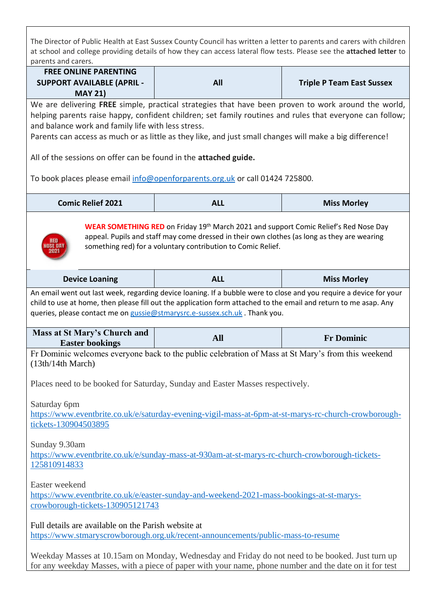The Director of Public Health at East Sussex County Council has written a letter to parents and carers with children at school and college providing details of how they can access lateral flow tests. Please see the **attached letter** to parents and carers.

| <b>FREE ONLINE PARENTING</b><br><b>SUPPORT AVAILABLE (APRIL -</b><br><b>MAY 21)</b>                                                                                                                                                                                                                                                                                               | All        | <b>Triple P Team East Sussex</b> |
|-----------------------------------------------------------------------------------------------------------------------------------------------------------------------------------------------------------------------------------------------------------------------------------------------------------------------------------------------------------------------------------|------------|----------------------------------|
| We are delivering FREE simple, practical strategies that have been proven to work around the world,<br>helping parents raise happy, confident children; set family routines and rules that everyone can follow;<br>and balance work and family life with less stress.<br>Parents can access as much or as little as they like, and just small changes will make a big difference! |            |                                  |
| All of the sessions on offer can be found in the attached guide.<br>To book places please email info@openforparents.org.uk or call 01424 725800.                                                                                                                                                                                                                                  |            |                                  |
| <b>Comic Relief 2021</b>                                                                                                                                                                                                                                                                                                                                                          | <b>ALL</b> | <b>Miss Morley</b>               |
| WEAR SOMETHING RED on Friday 19th March 2021 and support Comic Relief's Red Nose Day<br>appeal. Pupils and staff may come dressed in their own clothes (as long as they are wearing<br>RED<br><b>OSE DA</b><br>something red) for a voluntary contribution to Comic Relief.<br>2021                                                                                               |            |                                  |
| <b>Device Loaning</b>                                                                                                                                                                                                                                                                                                                                                             | <b>ALL</b> | <b>Miss Morley</b>               |
| An email went out last week, regarding device loaning. If a bubble were to close and you require a device for your<br>child to use at home, then please fill out the application form attached to the email and return to me asap. Any<br>queries, please contact me on gussie@stmarysrc.e-sussex.sch.uk. Thank you.                                                              |            |                                  |
| Mass at St Mary's Church and<br><b>Easter bookings</b>                                                                                                                                                                                                                                                                                                                            | <b>All</b> | <b>Fr Dominic</b>                |
| Fr Dominic welcomes everyone back to the public celebration of Mass at St Mary's from this weekend<br>(13th/14th March)                                                                                                                                                                                                                                                           |            |                                  |
| Places need to be booked for Saturday, Sunday and Easter Masses respectively.                                                                                                                                                                                                                                                                                                     |            |                                  |
| Saturday 6pm<br>https://www.eventbrite.co.uk/e/saturday-evening-vigil-mass-at-6pm-at-st-marys-rc-church-crowborough-<br>tickets-130904503895                                                                                                                                                                                                                                      |            |                                  |
| Sunday 9.30am<br>https://www.eventbrite.co.uk/e/sunday-mass-at-930am-at-st-marys-rc-church-crowborough-tickets-<br>125810914833                                                                                                                                                                                                                                                   |            |                                  |
| Easter weekend<br>https://www.eventbrite.co.uk/e/easter-sunday-and-weekend-2021-mass-bookings-at-st-marys-<br>crowborough-tickets-130905121743                                                                                                                                                                                                                                    |            |                                  |
| Full details are available on the Parish website at<br>https://www.stmaryscrowborough.org.uk/recent-announcements/public-mass-to-resume<br>Weeklay Masses at 10.15am on Monday, Wednesday and Friday do not need to be booked Just turn up                                                                                                                                        |            |                                  |

Weekday Masses at 10.15am on Monday, Wednesday and Friday do not need to be booked. Just turn up for any weekday Masses, with a piece of paper with your name, phone number and the date on it for test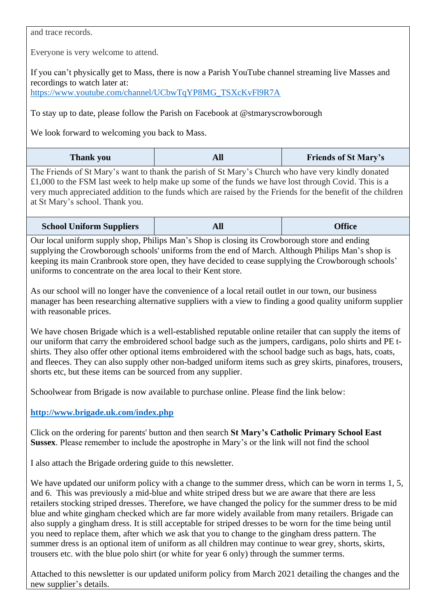and trace records.

Everyone is very welcome to attend.

If you can't physically get to Mass, there is now a Parish YouTube channel streaming live Masses and recordings to watch later at: [https://www.youtube.com/channel/UCbwTqYP8MG\\_TSXcKvFl9R7A](https://www.youtube.com/channel/UCbwTqYP8MG_TSXcKvFl9R7A)

To stay up to date, please follow the Parish on Facebook at @stmaryscrowborough

We look forward to welcoming you back to Mass.

| <b>Thank you</b> |  | <b>Friends of St Mary's</b> |
|------------------|--|-----------------------------|
|------------------|--|-----------------------------|

The Friends of St Mary's want to thank the parish of St Mary's Church who have very kindly donated £1,000 to the FSM last week to help make up some of the funds we have lost through Covid. This is a very much appreciated addition to the funds which are raised by the Friends for the benefit of the children at St Mary's school. Thank you.

| <b>School Uniform Suppliers</b> | All | <b>Office</b> |
|---------------------------------|-----|---------------|
|---------------------------------|-----|---------------|

Our local uniform supply shop, Philips Man's Shop is closing its Crowborough store and ending supplying the Crowborough schools' uniforms from the end of March. Although Philips Man's shop is keeping its main Cranbrook store open, they have decided to cease supplying the Crowborough schools' uniforms to concentrate on the area local to their Kent store.

As our school will no longer have the convenience of a local retail outlet in our town, our business manager has been researching alternative suppliers with a view to finding a good quality uniform supplier with reasonable prices.

We have chosen Brigade which is a well-established reputable online retailer that can supply the items of our uniform that carry the embroidered school badge such as the jumpers, cardigans, polo shirts and PE tshirts. They also offer other optional items embroidered with the school badge such as bags, hats, coats, and fleeces. They can also supply other non-badged uniform items such as grey skirts, pinafores, trousers, shorts etc, but these items can be sourced from any supplier.

Schoolwear from Brigade is now available to purchase online. Please find the link below:

## **<http://www.brigade.uk.com/index.php>**

Click on the ordering for parents' button and then search **St Mary's Catholic Primary School East Sussex**. Please remember to include the apostrophe in Mary's or the link will not find the school

I also attach the Brigade ordering guide to this newsletter.

We have updated our uniform policy with a change to the summer dress, which can be worn in terms 1, 5, and 6. This was previously a mid-blue and white striped dress but we are aware that there are less retailers stocking striped dresses. Therefore, we have changed the policy for the summer dress to be mid blue and white gingham checked which are far more widely available from many retailers. Brigade can also supply a gingham dress. It is still acceptable for striped dresses to be worn for the time being until you need to replace them, after which we ask that you to change to the gingham dress pattern. The summer dress is an optional item of uniform as all children may continue to wear grey, shorts, skirts, trousers etc. with the blue polo shirt (or white for year 6 only) through the summer terms.

Attached to this newsletter is our updated uniform policy from March 2021 detailing the changes and the new supplier's details.